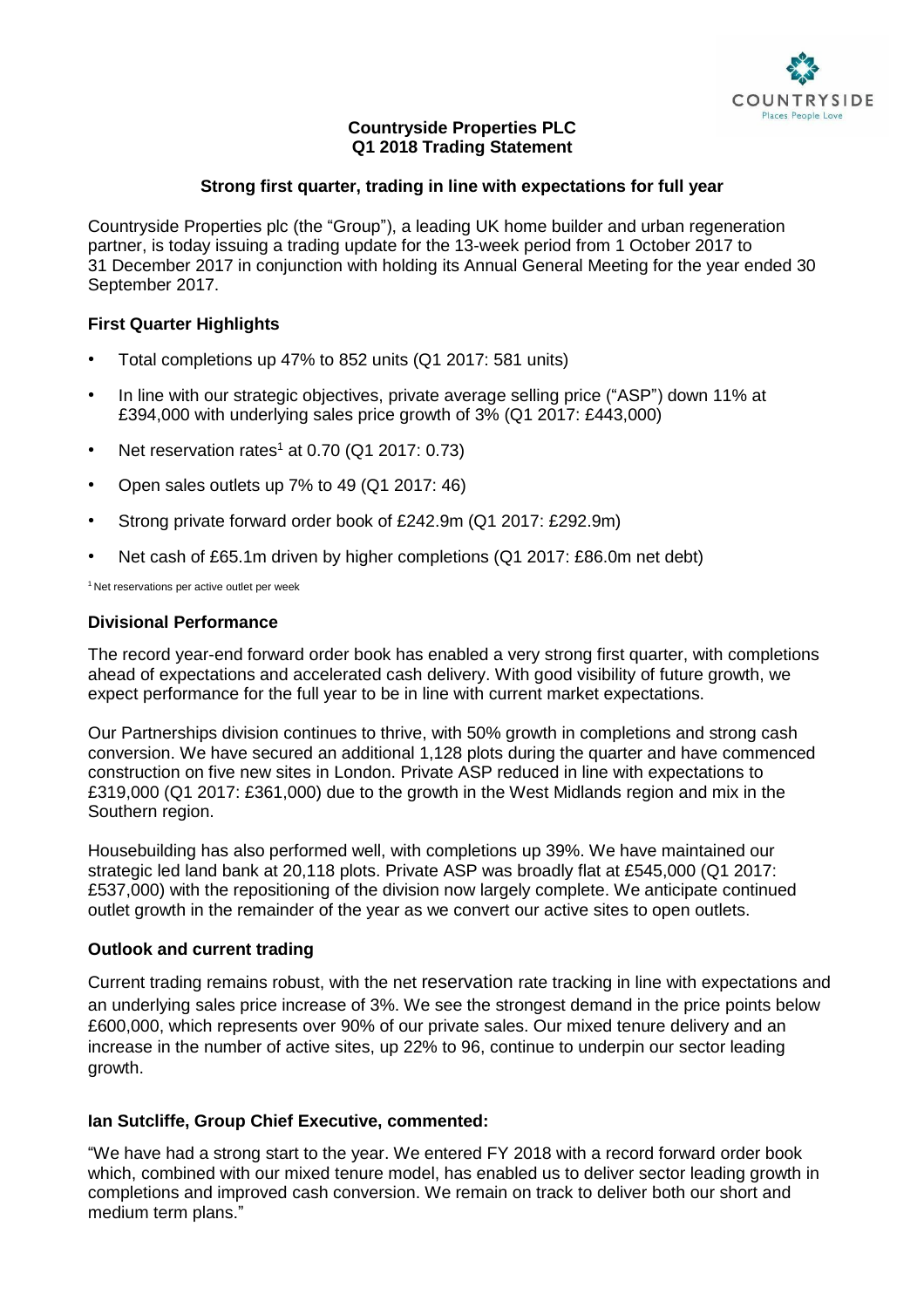

# **Countryside Properties PLC Q1 2018 Trading Statement**

## **Strong first quarter, trading in line with expectations for full year**

Countryside Properties plc (the "Group"), a leading UK home builder and urban regeneration partner, is today issuing a trading update for the 13-week period from 1 October 2017 to 31 December 2017 in conjunction with holding its Annual General Meeting for the year ended 30 September 2017.

## **First Quarter Highlights**

- Total completions up 47% to 852 units (Q1 2017: 581 units)
- In line with our strategic objectives, private average selling price ("ASP") down 11% at £394,000 with underlying sales price growth of 3% (Q1 2017: £443,000)
- Net reservation rates<sup>1</sup> at 0.70 (Q1 2017:  $0.73$ )
- Open sales outlets up 7% to 49 (Q1 2017: 46)
- Strong private forward order book of £242.9m (Q1 2017: £292.9m)
- Net cash of £65.1m driven by higher completions (Q1 2017: £86.0m net debt)

<sup>1</sup> Net reservations per active outlet per week

## **Divisional Performance**

The record year-end forward order book has enabled a very strong first quarter, with completions ahead of expectations and accelerated cash delivery. With good visibility of future growth, we expect performance for the full year to be in line with current market expectations.

Our Partnerships division continues to thrive, with 50% growth in completions and strong cash conversion. We have secured an additional 1,128 plots during the quarter and have commenced construction on five new sites in London. Private ASP reduced in line with expectations to £319,000 (Q1 2017: £361,000) due to the growth in the West Midlands region and mix in the Southern region.

Housebuilding has also performed well, with completions up 39%. We have maintained our strategic led land bank at 20,118 plots. Private ASP was broadly flat at £545,000 (Q1 2017: £537,000) with the repositioning of the division now largely complete. We anticipate continued outlet growth in the remainder of the year as we convert our active sites to open outlets.

## **Outlook and current trading**

Current trading remains robust, with the net reservation rate tracking in line with expectations and an underlying sales price increase of 3%. We see the strongest demand in the price points below £600,000, which represents over 90% of our private sales. Our mixed tenure delivery and an increase in the number of active sites, up 22% to 96, continue to underpin our sector leading growth.

## **Ian Sutcliffe, Group Chief Executive, commented:**

"We have had a strong start to the year. We entered FY 2018 with a record forward order book which, combined with our mixed tenure model, has enabled us to deliver sector leading growth in completions and improved cash conversion. We remain on track to deliver both our short and medium term plans."